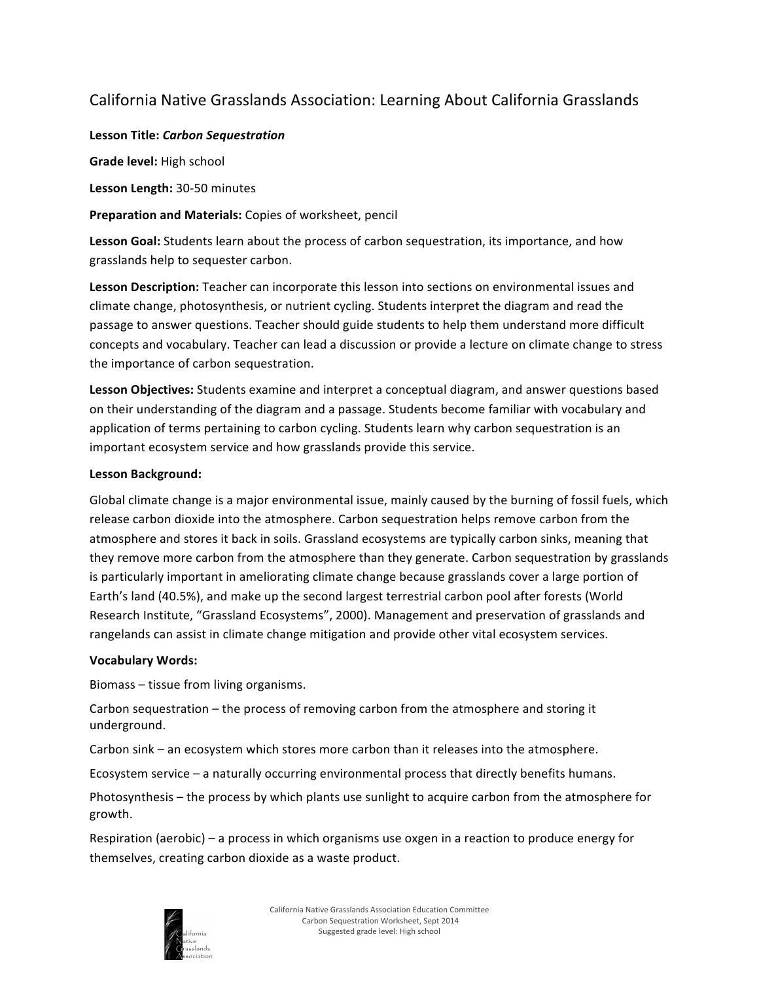# California Native Grasslands Association: Learning About California Grasslands

# **Lesson Title:** *Carbon Sequestration*

**Grade level:** High school

Lesson Length: 30-50 minutes

**Preparation and Materials:** Copies of worksheet, pencil

**Lesson Goal:** Students learn about the process of carbon sequestration, its importance, and how grasslands help to sequester carbon.

**Lesson Description:** Teacher can incorporate this lesson into sections on environmental issues and climate change, photosynthesis, or nutrient cycling. Students interpret the diagram and read the passage to answer questions. Teacher should guide students to help them understand more difficult concepts and vocabulary. Teacher can lead a discussion or provide a lecture on climate change to stress the importance of carbon sequestration.

Lesson Objectives: Students examine and interpret a conceptual diagram, and answer questions based on their understanding of the diagram and a passage. Students become familiar with vocabulary and application of terms pertaining to carbon cycling. Students learn why carbon sequestration is an important ecosystem service and how grasslands provide this service.

# Lesson Background:

Global climate change is a major environmental issue, mainly caused by the burning of fossil fuels, which release carbon dioxide into the atmosphere. Carbon sequestration helps remove carbon from the atmosphere and stores it back in soils. Grassland ecosystems are typically carbon sinks, meaning that they remove more carbon from the atmosphere than they generate. Carbon sequestration by grasslands is particularly important in ameliorating climate change because grasslands cover a large portion of Earth's land (40.5%), and make up the second largest terrestrial carbon pool after forests (World Research Institute, "Grassland Ecosystems", 2000). Management and preservation of grasslands and rangelands can assist in climate change mitigation and provide other vital ecosystem services.

# **Vocabulary Words:**

Biomass – tissue from living organisms.

Carbon sequestration  $-$  the process of removing carbon from the atmosphere and storing it underground.

Carbon sink – an ecosystem which stores more carbon than it releases into the atmosphere.

Ecosystem service  $-$  a naturally occurring environmental process that directly benefits humans.

Photosynthesis – the process by which plants use sunlight to acquire carbon from the atmosphere for growth.

Respiration (aerobic) – a process in which organisms use oxgen in a reaction to produce energy for themselves, creating carbon dioxide as a waste product.

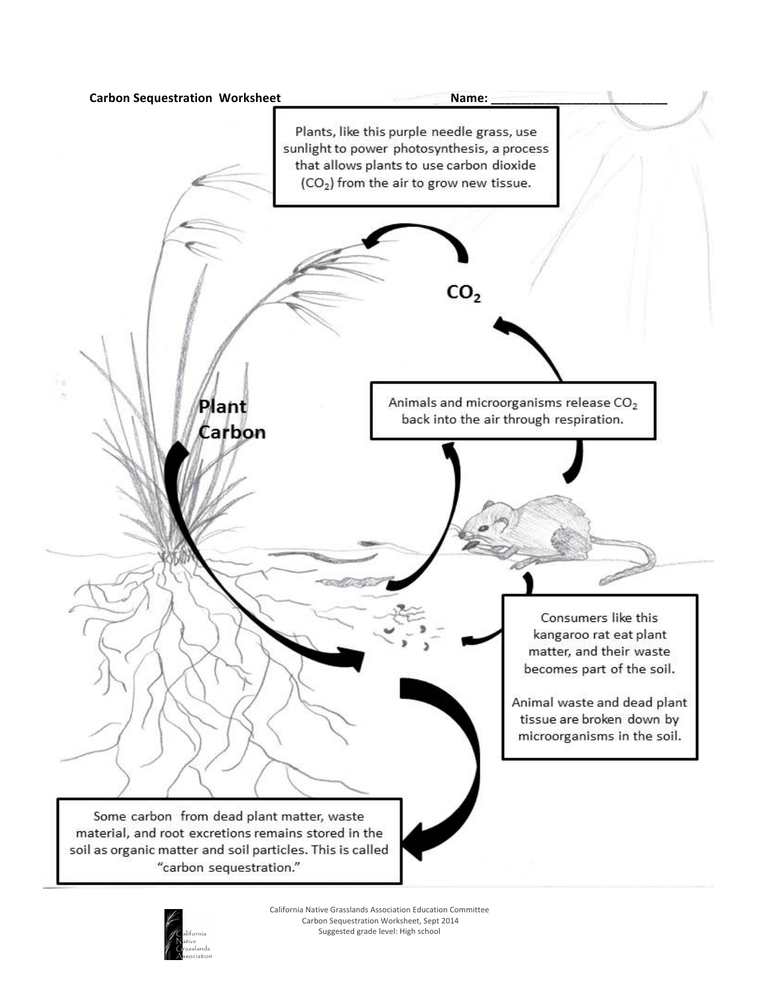

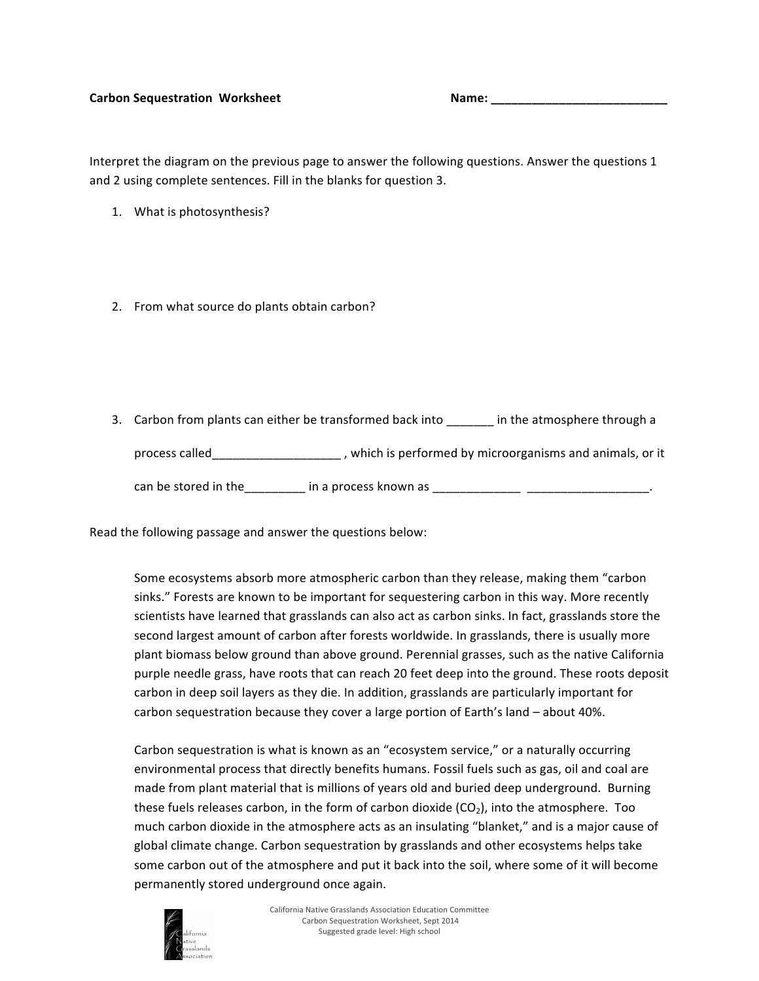#### Carbon Sequestration Worksheet **And Carbon** Sequestration Worksheet **And Carbon** Sequestration and Carbon Sequestration and Carbon Sequestration and Carbon Sequestration and Carbon Sequestration and Carbon Sequestration an

Interpret the diagram on the previous page to answer the following questions. Answer the questions 1 and 2 using complete sentences. Fill in the blanks for question 3.

- 1. What is photosynthesis?
- 2. From what source do plants obtain carbon?
- 3. Carbon from plants can either be transformed back into \_\_\_\_\_\_\_ in the atmosphere through a process called\_\_\_\_\_\_\_\_\_\_\_\_\_\_\_\_\_\_\_\_\_, which is performed by microorganisms and animals, or it can be stored in the\_\_\_\_\_\_\_\_\_ in a process known as \_\_\_\_\_\_\_\_\_\_\_\_\_ \_\_\_\_\_\_\_\_\_\_\_\_\_\_\_\_\_\_.

Read the following passage and answer the questions below:

Some ecosystems absorb more atmospheric carbon than they release, making them "carbon sinks." Forests are known to be important for sequestering carbon in this way. More recently scientists have learned that grasslands can also act as carbon sinks. In fact, grasslands store the second largest amount of carbon after forests worldwide. In grasslands, there is usually more plant biomass below ground than above ground. Perennial grasses, such as the native California purple needle grass, have roots that can reach 20 feet deep into the ground. These roots deposit carbon in deep soil layers as they die. In addition, grasslands are particularly important for carbon sequestration because they cover a large portion of Earth's land – about 40%.

Carbon sequestration is what is known as an "ecosystem service," or a naturally occurring environmental process that directly benefits humans. Fossil fuels such as gas, oil and coal are made from plant material that is millions of years old and buried deep underground. Burning these fuels releases carbon, in the form of carbon dioxide  $(CO<sub>2</sub>)$ , into the atmosphere. Too much carbon dioxide in the atmosphere acts as an insulating "blanket," and is a major cause of global climate change. Carbon sequestration by grasslands and other ecosystems helps take some carbon out of the atmosphere and put it back into the soil, where some of it will become permanently stored underground once again.

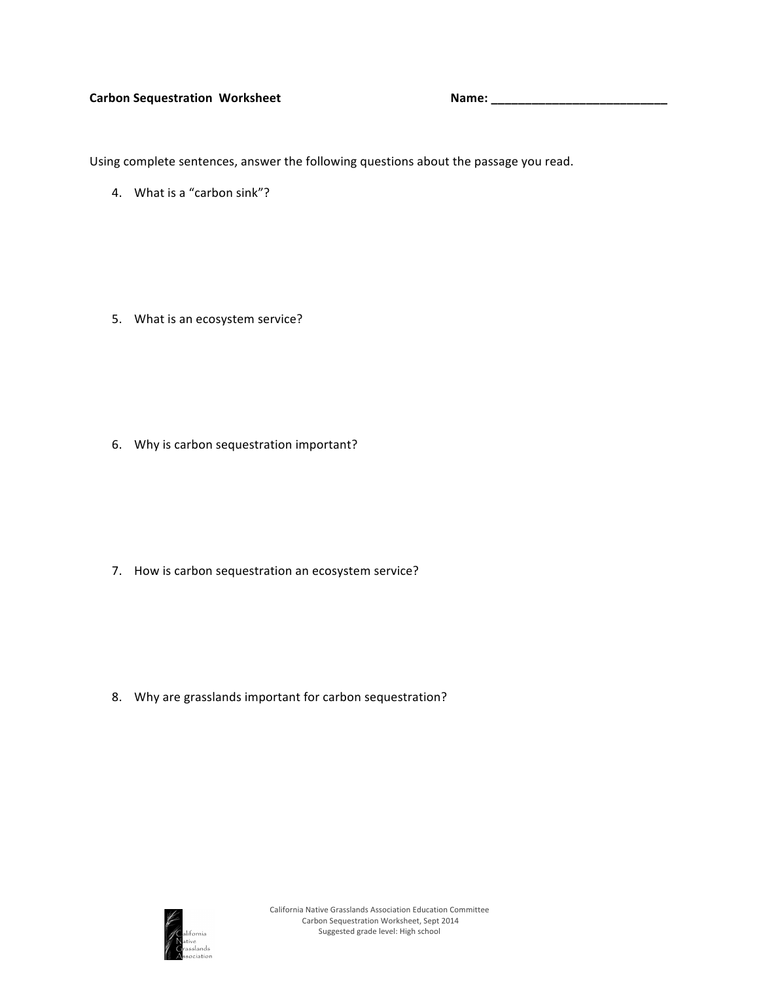### Carbon Sequestration Worksheet **1994** Mame: 1996 Mame: 2008 Mame: 2008 Mame: 2008 Mame: 2008 Mame: 2008 Mame: 2008 Mame: 2008 Mame: 2008 Mame: 2008 Mame: 2008 Mame: 2008 Mame: 2008 Mame: 2008 Mame: 2008 Mame: 2008 Mame: 20

Using complete sentences, answer the following questions about the passage you read.

4. What is a "carbon sink"?

5. What is an ecosystem service?

6. Why is carbon sequestration important?

7. How is carbon sequestration an ecosystem service?

8. Why are grasslands important for carbon sequestration?